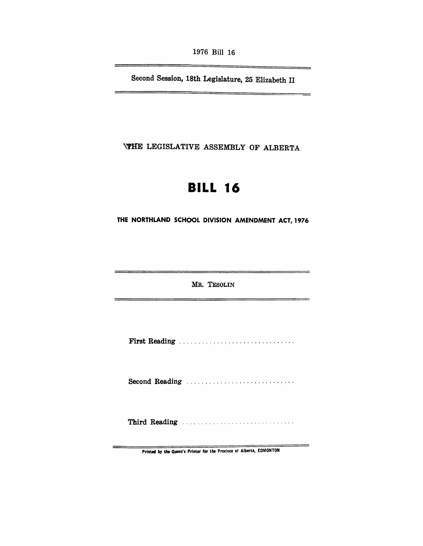1976 Bill 16

Second Session, 18th Legislature, 25 Elizabeth II

**\\THE LEGISLATIVE ASSEMBLY OF ALBERTA** 

# **BILL 16**

THE NORTHLAND SCHOOL DIVISION AMENDMENT ACT, 1976

MR. TESOLIN

First Reading .............................. .

Second Reading ................................

Third Reading ................................

PrInted by the Queen's PrInter for the Province of Alberta, EDMONTON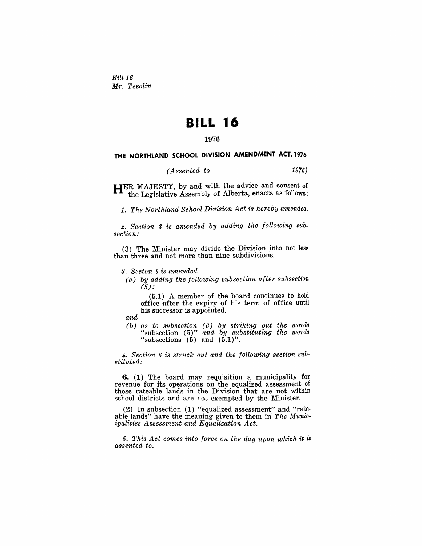*Bill* 16 *Mr. Tesolin* 

## **BILL 16**

## 1976

## THE NORTHLAND SCHOOL DIVISION AMENDMENT ACT, 1976

*(Assented to* 1976)

**HER** MAJESTY, by and with the advice and consent of the Legislative Assembly of Alberta, enacts as follows:

1. *The Northland School Division Act is hereby amended.* 

*2. Section* 3 *is amended by adding the following subsection:* 

(3) The Minister may divide the Division into not less than three and not more than nine subdivisions.

*3. Secton* 4 *is amended* 

*(a) by adding the following subsection after subsection*   $(5)$  :

(5.1) A member of the board continues to hold office after the expiry of his term of office until his successor is appointed.

*and* 

*(b) as to subsection* (6) *by striking out the words*  "subsection (5)" and by substituting the words "subsections  $(5)$  and  $(5.1)$ ".

*4. Section* 6 is *struck out and the following section substituted:* 

**6.** (1) The board may requisition a municipality for revenue for its operations on the equalized assessment of those rateable lands in the Division that are not within school districts and are not exempted by the Minister.

(2) In subsection (1) "equalized assessment" and "rateable lands" have the meaning given to them in *The Municipalities Assessment and Equalization Act.* 

*5. This Act comes into force on the day upon which it is assented to.*